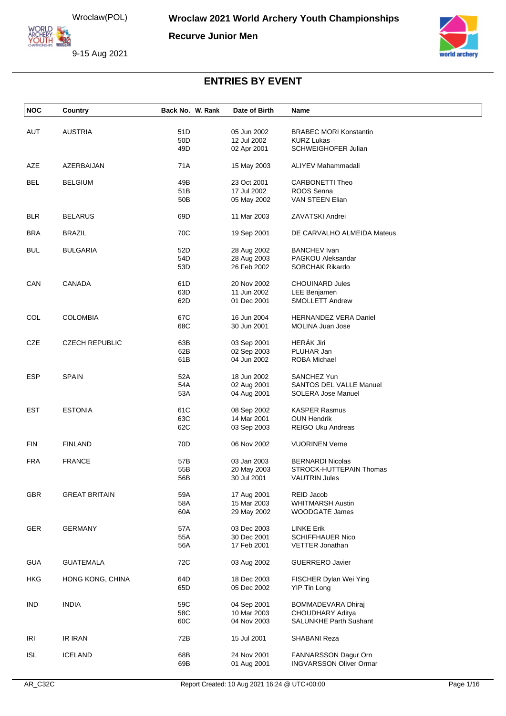ORLD **ARCHERY** 

**Recurve Junior Men**





| <b>NOC</b> | Country               | Back No. W. Rank | Date of Birth | Name                           |
|------------|-----------------------|------------------|---------------|--------------------------------|
|            |                       |                  |               |                                |
| <b>AUT</b> | <b>AUSTRIA</b>        | 51D              | 05 Jun 2002   | <b>BRABEC MORI Konstantin</b>  |
|            |                       | 50 <sub>D</sub>  | 12 Jul 2002   | <b>KURZ Lukas</b>              |
|            |                       | 49D              | 02 Apr 2001   | SCHWEIGHOFER Julian            |
| AZE        | AZERBAIJAN            | 71A              | 15 May 2003   | ALIYEV Mahammadali             |
| <b>BEL</b> | <b>BELGIUM</b>        | 49B              | 23 Oct 2001   | <b>CARBONETTI Theo</b>         |
|            |                       | 51B              | 17 Jul 2002   | ROOS Senna                     |
|            |                       | 50B              | 05 May 2002   | VAN STEEN Elian                |
| <b>BLR</b> | <b>BELARUS</b>        | 69D              | 11 Mar 2003   | ZAVATSKI Andrei                |
| <b>BRA</b> | <b>BRAZIL</b>         | 70C              | 19 Sep 2001   | DE CARVALHO ALMEIDA Mateus     |
| <b>BUL</b> | <b>BULGARIA</b>       | 52D              | 28 Aug 2002   | <b>BANCHEV Ivan</b>            |
|            |                       | 54D              | 28 Aug 2003   | PAGKOU Aleksandar              |
|            |                       | 53D              | 26 Feb 2002   | SOBCHAK Rikardo                |
| CAN        | <b>CANADA</b>         | 61D              | 20 Nov 2002   | <b>CHOUINARD Jules</b>         |
|            |                       | 63D              | 11 Jun 2002   | <b>LEE Benjamen</b>            |
|            |                       | 62D              | 01 Dec 2001   | <b>SMOLLETT Andrew</b>         |
| COL        | <b>COLOMBIA</b>       | 67C              | 16 Jun 2004   | <b>HERNANDEZ VERA Daniel</b>   |
|            |                       | 68C              | 30 Jun 2001   | MOLINA Juan Jose               |
| <b>CZE</b> | <b>CZECH REPUBLIC</b> | 63B              | 03 Sep 2001   | HERÁK Jiri                     |
|            |                       | 62B              | 02 Sep 2003   | PLUHAR Jan                     |
|            |                       | 61B              | 04 Jun 2002   | ROBA Michael                   |
| <b>ESP</b> | <b>SPAIN</b>          | 52A              | 18 Jun 2002   | SANCHEZ Yun                    |
|            |                       | 54A              | 02 Aug 2001   | SANTOS DEL VALLE Manuel        |
|            |                       | 53A              | 04 Aug 2001   | <b>SOLERA Jose Manuel</b>      |
| EST        | <b>ESTONIA</b>        | 61C              | 08 Sep 2002   | <b>KASPER Rasmus</b>           |
|            |                       | 63C              | 14 Mar 2001   | <b>OUN Hendrik</b>             |
|            |                       | 62C              | 03 Sep 2003   | <b>REIGO Uku Andreas</b>       |
| <b>FIN</b> | <b>FINLAND</b>        | 70D              | 06 Nov 2002   | <b>VUORINEN Verne</b>          |
| <b>FRA</b> | <b>FRANCE</b>         | 57B              | 03 Jan 2003   | <b>BERNARDI Nicolas</b>        |
|            |                       | 55B              | 20 May 2003   | STROCK-HUTTEPAIN Thomas        |
|            |                       | 56B              | 30 Jul 2001   | <b>VAUTRIN Jules</b>           |
| <b>GBR</b> | <b>GREAT BRITAIN</b>  | 59A              | 17 Aug 2001   | REID Jacob                     |
|            |                       | 58A              | 15 Mar 2003   | <b>WHITMARSH Austin</b>        |
|            |                       | 60A              | 29 May 2002   | <b>WOODGATE James</b>          |
| <b>GER</b> | <b>GERMANY</b>        | 57A              | 03 Dec 2003   | <b>LINKE Erik</b>              |
|            |                       | 55A              | 30 Dec 2001   | <b>SCHIFFHAUER Nico</b>        |
|            |                       | 56A              | 17 Feb 2001   | VETTER Jonathan                |
| <b>GUA</b> | <b>GUATEMALA</b>      | 72C              | 03 Aug 2002   | <b>GUERRERO Javier</b>         |
| <b>HKG</b> | HONG KONG, CHINA      | 64D              | 18 Dec 2003   | FISCHER Dylan Wei Ying         |
|            |                       | 65D              | 05 Dec 2002   | YIP Tin Long                   |
| <b>IND</b> | <b>INDIA</b>          | 59C              | 04 Sep 2001   | BOMMADEVARA Dhiraj             |
|            |                       | 58C              | 10 Mar 2003   | CHOUDHARY Aditya               |
|            |                       | 60C              | 04 Nov 2003   | <b>SALUNKHE Parth Sushant</b>  |
| IRI        | IR IRAN               | 72B              | 15 Jul 2001   | SHABANI Reza                   |
|            |                       |                  |               |                                |
| <b>ISL</b> | <b>ICELAND</b>        | 68B              | 24 Nov 2001   | FANNARSSON Dagur Orn           |
|            |                       | 69B              | 01 Aug 2001   | <b>INGVARSSON Oliver Ormar</b> |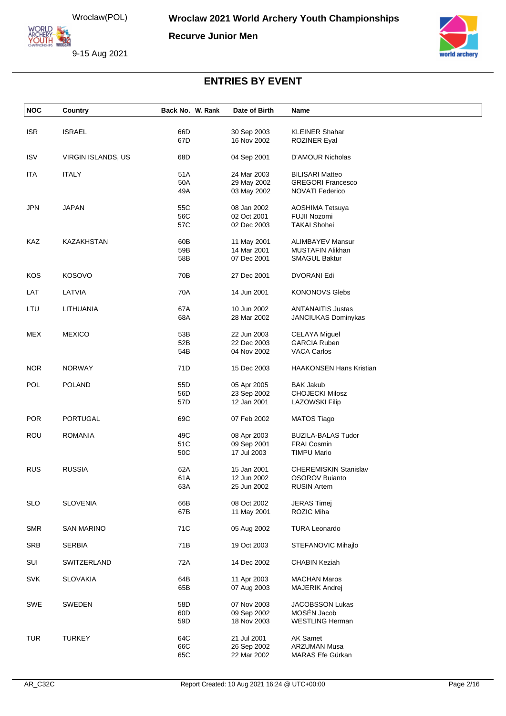ORLD ARCHERY-

**Recurve Junior Men**

9-15 Aug 2021



| <b>NOC</b> | Country            | Back No. W. Rank | Date of Birth              | Name                                            |
|------------|--------------------|------------------|----------------------------|-------------------------------------------------|
|            |                    |                  |                            |                                                 |
| <b>ISR</b> | <b>ISRAEL</b>      | 66D<br>67D       | 30 Sep 2003<br>16 Nov 2002 | <b>KLEINER Shahar</b><br><b>ROZINER Eyal</b>    |
|            |                    |                  |                            |                                                 |
| <b>ISV</b> | VIRGIN ISLANDS, US | 68D              | 04 Sep 2001                | <b>D'AMOUR Nicholas</b>                         |
| <b>ITA</b> | <b>ITALY</b>       | 51A              | 24 Mar 2003                | <b>BILISARI Matteo</b>                          |
|            |                    | 50A              | 29 May 2002                | <b>GREGORI Francesco</b>                        |
|            |                    | 49A              | 03 May 2002                | <b>NOVATI Federico</b>                          |
| <b>JPN</b> | <b>JAPAN</b>       | 55C              | 08 Jan 2002                | AOSHIMA Tetsuya                                 |
|            |                    | 56C              | 02 Oct 2001                | FUJII Nozomi                                    |
|            |                    | 57C              | 02 Dec 2003                | <b>TAKAI Shohei</b>                             |
| KAZ        | KAZAKHSTAN         | 60B              | 11 May 2001                | <b>ALIMBAYEV Mansur</b>                         |
|            |                    | 59B              | 14 Mar 2001                | <b>MUSTAFIN Alikhan</b>                         |
|            |                    | 58B              | 07 Dec 2001                | <b>SMAGUL Baktur</b>                            |
| <b>KOS</b> | <b>KOSOVO</b>      | 70B              | 27 Dec 2001                | <b>DVORANI Edi</b>                              |
| LAT        | LATVIA             | 70A              | 14 Jun 2001                | <b>KONONOVS Glebs</b>                           |
|            |                    |                  |                            |                                                 |
| LTU        | LITHUANIA          | 67A<br>68A       | 10 Jun 2002<br>28 Mar 2002 | <b>ANTANAITIS Justas</b><br>JANCIUKAS Dominykas |
|            |                    |                  |                            |                                                 |
| <b>MEX</b> | <b>MEXICO</b>      | 53B              | 22 Jun 2003                | <b>CELAYA Miguel</b>                            |
|            |                    | 52B              | 22 Dec 2003                | <b>GARCIA Ruben</b>                             |
|            |                    | 54B              | 04 Nov 2002                | <b>VACA Carlos</b>                              |
| <b>NOR</b> | <b>NORWAY</b>      | 71D              | 15 Dec 2003                | <b>HAAKONSEN Hans Kristian</b>                  |
| POL        | <b>POLAND</b>      | 55D              | 05 Apr 2005                | <b>BAK Jakub</b>                                |
|            |                    | 56D              | 23 Sep 2002                | <b>CHOJECKI Milosz</b>                          |
|            |                    | 57D              | 12 Jan 2001                | <b>LAZOWSKI Filip</b>                           |
| <b>POR</b> | <b>PORTUGAL</b>    | 69C              | 07 Feb 2002                | <b>MATOS Tiago</b>                              |
| <b>ROU</b> | <b>ROMANIA</b>     | 49C              | 08 Apr 2003                | <b>BUZILA-BALAS Tudor</b>                       |
|            |                    | 51C              | 09 Sep 2001                | <b>FRAI Cosmin</b>                              |
|            |                    | 50C              | 17 Jul 2003                | <b>TIMPU Mario</b>                              |
| <b>RUS</b> | <b>RUSSIA</b>      | 62A              | 15 Jan 2001                | <b>CHEREMISKIN Stanislav</b>                    |
|            |                    | 61A              | 12 Jun 2002                | <b>OSOROV Buianto</b>                           |
|            |                    | 63A              | 25 Jun 2002                | <b>RUSIN Artem</b>                              |
|            | <b>SLOVENIA</b>    | 66B              |                            | <b>JERAS Timej</b>                              |
| <b>SLO</b> |                    | 67B              | 08 Oct 2002<br>11 May 2001 | ROZIC Miha                                      |
|            |                    |                  |                            |                                                 |
| <b>SMR</b> | <b>SAN MARINO</b>  | 71C              | 05 Aug 2002                | <b>TURA Leonardo</b>                            |
| <b>SRB</b> | <b>SERBIA</b>      | 71B              | 19 Oct 2003                | STEFANOVIC Mihajlo                              |
| SUI        | SWITZERLAND        | 72A              | 14 Dec 2002                | <b>CHABIN Keziah</b>                            |
| <b>SVK</b> | <b>SLOVAKIA</b>    | 64B              | 11 Apr 2003                | <b>MACHAN Maros</b>                             |
|            |                    | 65B              | 07 Aug 2003                | <b>MAJERIK Andrej</b>                           |
| SWE        | SWEDEN             | 58D              | 07 Nov 2003                | JACOBSSON Lukas                                 |
|            |                    | 60D              | 09 Sep 2002                | MOSÉN Jacob                                     |
|            |                    | 59D              | 18 Nov 2003                | <b>WESTLING Herman</b>                          |
| <b>TUR</b> | <b>TURKEY</b>      | 64C              | 21 Jul 2001                | <b>AK Samet</b>                                 |
|            |                    | 66C              | 26 Sep 2002                | <b>ARZUMAN Musa</b>                             |
|            |                    | 65C              | 22 Mar 2002                | MARAS Efe Gürkan                                |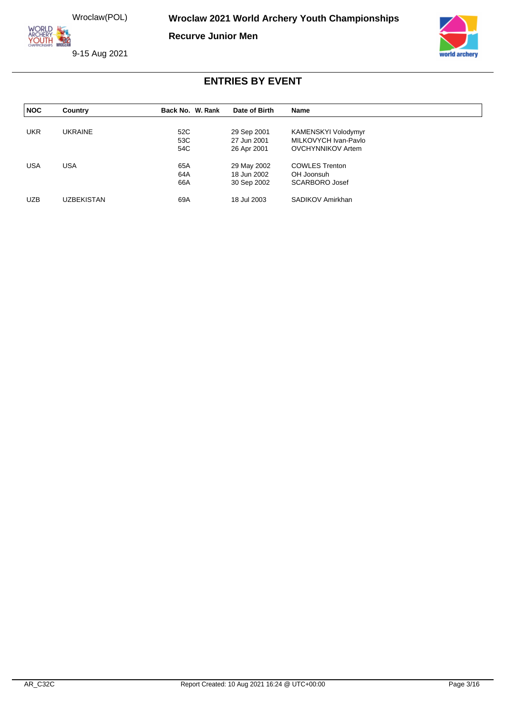**ORLD ARCHERY<br>YOUTH 422** 

**Recurve Junior Men**

9-15 Aug 2021



| <b>NOC</b> | Country    | Back No. W. Rank | Date of Birth              | <b>Name</b>                                 |  |
|------------|------------|------------------|----------------------------|---------------------------------------------|--|
| <b>UKR</b> | UKRAINE    | 52C              |                            |                                             |  |
|            |            | 53C              | 29 Sep 2001<br>27 Jun 2001 | KAMENSKYI Volodymyr<br>MILKOVYCH Ivan-Pavlo |  |
|            |            | 54C              | 26 Apr 2001                | <b>OVCHYNNIKOV Artem</b>                    |  |
| <b>USA</b> | <b>USA</b> | 65A              | 29 May 2002                | <b>COWLES Trenton</b>                       |  |
|            |            | 64A              | 18 Jun 2002                | OH Joonsuh                                  |  |
|            |            | 66A              | 30 Sep 2002                | <b>SCARBORO Josef</b>                       |  |
| <b>UZB</b> | UZBEKISTAN | 69A              | 18 Jul 2003                | SADIKOV Amirkhan                            |  |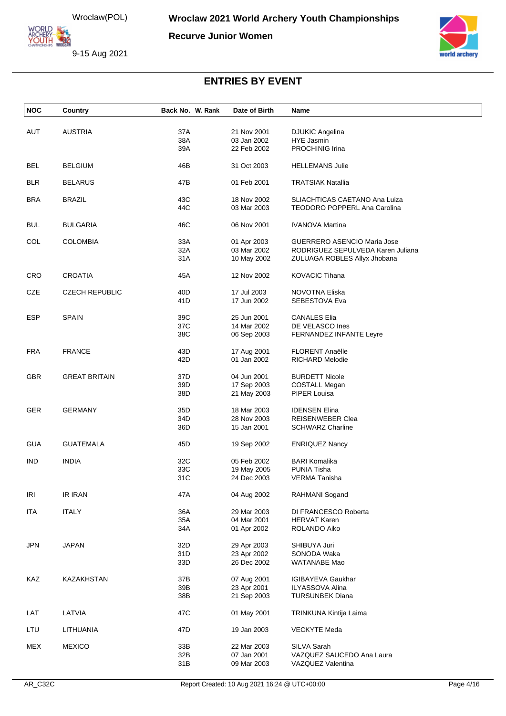ORLD **ARCHERY<br>YOUTH 422** 

**Recurve Junior Women**

9-15 Aug 2021



| <b>NOC</b> | Country               | Back No. W. Rank | Date of Birth              | Name                                                             |
|------------|-----------------------|------------------|----------------------------|------------------------------------------------------------------|
| AUT        | <b>AUSTRIA</b>        | 37A              | 21 Nov 2001                | <b>DJUKIC Angelina</b>                                           |
|            |                       | 38A              | 03 Jan 2002                | HYE Jasmin                                                       |
|            |                       | 39A              | 22 Feb 2002                | PROCHINIG Irina                                                  |
|            |                       |                  |                            |                                                                  |
| BEL        | <b>BELGIUM</b>        | 46B              | 31 Oct 2003                | <b>HELLEMANS Julie</b>                                           |
|            |                       |                  |                            |                                                                  |
| <b>BLR</b> | <b>BELARUS</b>        | 47B              | 01 Feb 2001                | <b>TRATSIAK Natallia</b>                                         |
|            |                       |                  |                            |                                                                  |
| <b>BRA</b> | <b>BRAZIL</b>         | 43C              | 18 Nov 2002                | SLIACHTICAS CAETANO Ana Luiza                                    |
|            |                       | 44C              | 03 Mar 2003                | <b>TEODORO POPPERL Ana Carolina</b>                              |
|            |                       |                  |                            |                                                                  |
| <b>BUL</b> | <b>BULGARIA</b>       | 46C              | 06 Nov 2001                | <b>IVANOVA Martina</b>                                           |
|            |                       |                  |                            |                                                                  |
| COL        | <b>COLOMBIA</b>       | 33A<br>32A       | 01 Apr 2003<br>03 Mar 2002 | GUERRERO ASENCIO Maria Jose<br>RODRIGUEZ SEPULVEDA Karen Juliana |
|            |                       | 31 A             |                            |                                                                  |
|            |                       |                  | 10 May 2002                | ZULUAGA ROBLES Allyx Jhobana                                     |
| <b>CRO</b> | <b>CROATIA</b>        | 45A              | 12 Nov 2002                | <b>KOVACIC Tihana</b>                                            |
|            |                       |                  |                            |                                                                  |
| CZE        | <b>CZECH REPUBLIC</b> | 40 <sub>D</sub>  | 17 Jul 2003                | NOVOTNA Eliska                                                   |
|            |                       | 41D              | 17 Jun 2002                | SEBESTOVA Eva                                                    |
|            |                       |                  |                            |                                                                  |
| <b>ESP</b> | <b>SPAIN</b>          | 39C              | 25 Jun 2001                | <b>CANALES Elia</b>                                              |
|            |                       | 37C              | 14 Mar 2002                | DE VELASCO Ines                                                  |
|            |                       | 38C              | 06 Sep 2003                | <b>FERNANDEZ INFANTE Leyre</b>                                   |
|            |                       |                  |                            |                                                                  |
| <b>FRA</b> | <b>FRANCE</b>         | 43D              | 17 Aug 2001                | <b>FLORENT Anaëlle</b>                                           |
|            |                       | 42D              | 01 Jan 2002                | <b>RICHARD Melodie</b>                                           |
|            |                       |                  |                            |                                                                  |
| <b>GBR</b> | <b>GREAT BRITAIN</b>  | 37D              | 04 Jun 2001                | <b>BURDETT Nicole</b>                                            |
|            |                       | 39D              | 17 Sep 2003                | <b>COSTALL Megan</b>                                             |
|            |                       | 38D              | 21 May 2003                | PIPER Louisa                                                     |
|            |                       |                  |                            |                                                                  |
| GER        | <b>GERMANY</b>        | 35D              | 18 Mar 2003                | <b>IDENSEN Elina</b>                                             |
|            |                       | 34D              | 28 Nov 2003                | REISENWEBER Clea                                                 |
|            |                       | 36D              | 15 Jan 2001                | <b>SCHWARZ Charline</b>                                          |
| <b>GUA</b> | <b>GUATEMALA</b>      | 45D              | 19 Sep 2002                | <b>ENRIQUEZ Nancy</b>                                            |
|            |                       |                  |                            |                                                                  |
| <b>IND</b> | <b>INDIA</b>          | 32C              | 05 Feb 2002                | <b>BARI Komalika</b>                                             |
|            |                       | 33C              | 19 May 2005                | <b>PUNIA Tisha</b>                                               |
|            |                       | 31C              | 24 Dec 2003                | <b>VERMA Tanisha</b>                                             |
|            |                       |                  |                            |                                                                  |
| <b>IRI</b> | <b>IR IRAN</b>        | 47A              | 04 Aug 2002                | RAHMANI Sogand                                                   |
|            |                       |                  |                            |                                                                  |
| <b>ITA</b> | <b>ITALY</b>          | 36A              | 29 Mar 2003                | DI FRANCESCO Roberta                                             |
|            |                       | 35A              | 04 Mar 2001                | <b>HERVAT Karen</b>                                              |
|            |                       | 34A              | 01 Apr 2002                | ROLANDO Aiko                                                     |
|            |                       |                  |                            |                                                                  |
| <b>JPN</b> | <b>JAPAN</b>          | 32D              | 29 Apr 2003                | SHIBUYA Juri                                                     |
|            |                       | 31D              | 23 Apr 2002                | SONODA Waka                                                      |
|            |                       | 33D              | 26 Dec 2002                | WATANABE Mao                                                     |
| KAZ        | KAZAKHSTAN            | 37B              | 07 Aug 2001                | <b>IGIBAYEVA Gaukhar</b>                                         |
|            |                       | 39B              | 23 Apr 2001                | <b>ILYASSOVA Alina</b>                                           |
|            |                       | 38B              | 21 Sep 2003                | <b>TURSUNBEK Diana</b>                                           |
|            |                       |                  |                            |                                                                  |
| LAT        | LATVIA                | 47C              | 01 May 2001                | TRINKUNA Kintija Laima                                           |
|            |                       |                  |                            |                                                                  |
| LTU        | LITHUANIA             | 47D              | 19 Jan 2003                | <b>VECKYTE Meda</b>                                              |
|            |                       |                  |                            |                                                                  |
| <b>MEX</b> | <b>MEXICO</b>         | 33B              | 22 Mar 2003                | SILVA Sarah                                                      |
|            |                       | 32B              | 07 Jan 2001                | VAZQUEZ SAUCEDO Ana Laura                                        |
|            |                       | 31B              | 09 Mar 2003                | VAZQUEZ Valentina                                                |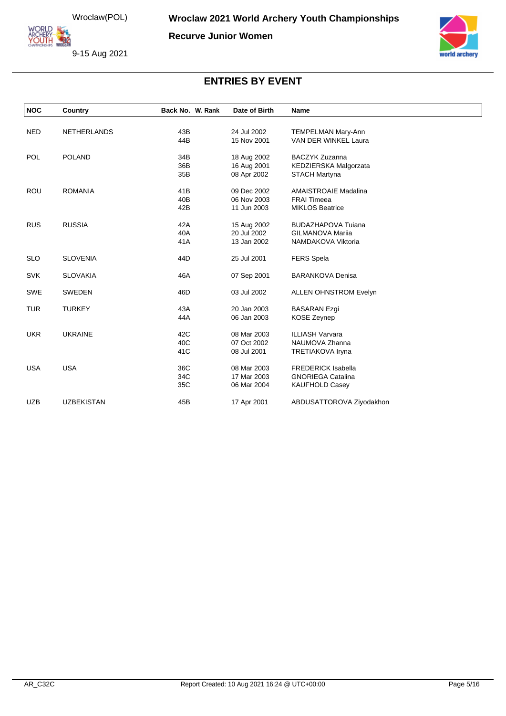ORLD **ARCHERY<br>YOUTH 422** 

**Recurve Junior Women**

9-15 Aug 2021



| <b>NOC</b> | Country            | Back No. W. Rank | Date of Birth              | Name                                          |
|------------|--------------------|------------------|----------------------------|-----------------------------------------------|
| <b>NED</b> | <b>NETHERLANDS</b> | 43B              | 24 Jul 2002                | <b>TEMPELMAN Mary-Ann</b>                     |
|            |                    | 44B              | 15 Nov 2001                | VAN DER WINKEL Laura                          |
| <b>POL</b> | <b>POLAND</b>      | 34B              | 18 Aug 2002                | <b>BACZYK Zuzanna</b>                         |
|            |                    | 36B<br>35B       | 16 Aug 2001<br>08 Apr 2002 | KEDZIERSKA Malgorzata<br><b>STACH Martyna</b> |
| ROU        | <b>ROMANIA</b>     | 41B              | 09 Dec 2002                | <b>AMAISTROAIE Madalina</b>                   |
|            |                    | 40 <sub>B</sub>  | 06 Nov 2003                | <b>FRAI Timeea</b>                            |
|            |                    | 42B              | 11 Jun 2003                | <b>MIKLOS Beatrice</b>                        |
| <b>RUS</b> | <b>RUSSIA</b>      | 42A              | 15 Aug 2002                | <b>BUDAZHAPOVA Tujana</b>                     |
|            |                    | 40A              | 20 Jul 2002                | <b>GILMANOVA Marija</b>                       |
|            |                    | 41A              | 13 Jan 2002                | NAMDAKOVA Viktoria                            |
| <b>SLO</b> | <b>SLOVENIA</b>    | 44D              | 25 Jul 2001                | <b>FERS Spela</b>                             |
| <b>SVK</b> | <b>SLOVAKIA</b>    | 46A              | 07 Sep 2001                | <b>BARANKOVA Denisa</b>                       |
| <b>SWE</b> | <b>SWEDEN</b>      | 46D              | 03 Jul 2002                | <b>ALLEN OHNSTROM Evelyn</b>                  |
| <b>TUR</b> | <b>TURKEY</b>      | 43A              | 20 Jan 2003                | <b>BASARAN Ezgi</b>                           |
|            |                    | 44A              | 06 Jan 2003                | <b>KOSE Zeynep</b>                            |
| <b>UKR</b> | <b>UKRAINE</b>     | 42C              | 08 Mar 2003                | <b>ILLIASH Varvara</b>                        |
|            |                    | 40C              | 07 Oct 2002                | NAUMOVA Zhanna                                |
|            |                    | 41C              | 08 Jul 2001                | <b>TRETIAKOVA Iryna</b>                       |
| <b>USA</b> | <b>USA</b>         | 36C              | 08 Mar 2003                | <b>FREDERICK Isabella</b>                     |
|            |                    | 34C              | 17 Mar 2003                | <b>GNORIEGA Catalina</b>                      |
|            |                    | 35C              | 06 Mar 2004                | <b>KAUFHOLD Casey</b>                         |
| <b>UZB</b> | <b>UZBEKISTAN</b>  | 45B              | 17 Apr 2001                | ABDUSATTOROVA Ziyodakhon                      |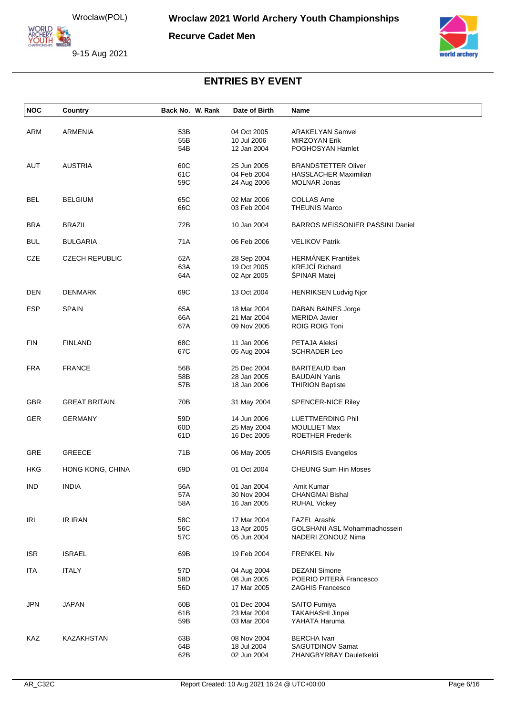ORLD **YOUTH 220** 

**Recurve Cadet Men**

9-15 Aug 2021



| <b>NOC</b> | Country               | Back No. W. Rank | Date of Birth              | Name                                    |
|------------|-----------------------|------------------|----------------------------|-----------------------------------------|
|            |                       |                  |                            |                                         |
| ARM        | <b>ARMENIA</b>        | 53B              | 04 Oct 2005                | <b>ARAKELYAN Samvel</b>                 |
|            |                       | 55B              | 10 Jul 2006                | <b>MIRZOYAN Erik</b>                    |
|            |                       | 54B              | 12 Jan 2004                | POGHOSYAN Hamlet                        |
| AUT        | <b>AUSTRIA</b>        | 60C              | 25 Jun 2005                | <b>BRANDSTETTER Oliver</b>              |
|            |                       | 61C              | 04 Feb 2004                | <b>HASSLACHER Maximilian</b>            |
|            |                       | 59C              | 24 Aug 2006                | <b>MOLNAR Jonas</b>                     |
|            |                       |                  |                            |                                         |
| <b>BEL</b> | <b>BELGIUM</b>        | 65C              | 02 Mar 2006                | <b>COLLAS Arne</b>                      |
|            |                       | 66C              | 03 Feb 2004                | <b>THEUNIS Marco</b>                    |
| <b>BRA</b> | <b>BRAZIL</b>         | 72B              | 10 Jan 2004                | <b>BARROS MEISSONIER PASSINI Daniel</b> |
|            |                       |                  |                            |                                         |
| <b>BUL</b> | <b>BULGARIA</b>       | 71A              | 06 Feb 2006                | <b>VELIKOV Patrik</b>                   |
| CZE        | <b>CZECH REPUBLIC</b> | 62A              | 28 Sep 2004                | <b>HERMÁNEK František</b>               |
|            |                       | 63A              | 19 Oct 2005                | <b>KREJCÍ Richard</b>                   |
|            |                       | 64A              | 02 Apr 2005                | ŠPINAR Matej                            |
|            |                       |                  |                            |                                         |
| <b>DEN</b> | <b>DENMARK</b>        | 69C              | 13 Oct 2004                | <b>HENRIKSEN Ludvig Njor</b>            |
| <b>ESP</b> | <b>SPAIN</b>          | 65A              | 18 Mar 2004                | DABAN BAINES Jorge                      |
|            |                       | 66A              | 21 Mar 2004                | <b>MERIDA Javier</b>                    |
|            |                       | 67A              | 09 Nov 2005                | ROIG ROIG Toni                          |
|            |                       |                  |                            |                                         |
| <b>FIN</b> | <b>FINLAND</b>        | 68C              | 11 Jan 2006                | PETAJA Aleksi                           |
|            |                       | 67C              | 05 Aug 2004                | <b>SCHRADER Leo</b>                     |
| <b>FRA</b> | <b>FRANCE</b>         | 56B              | 25 Dec 2004                | <b>BARITEAUD Iban</b>                   |
|            |                       | 58B              | 28 Jan 2005                | <b>BAUDAIN Yanis</b>                    |
|            |                       | 57B              | 18 Jan 2006                | <b>THIRION Baptiste</b>                 |
|            |                       |                  |                            |                                         |
| <b>GBR</b> | <b>GREAT BRITAIN</b>  | 70B              | 31 May 2004                | <b>SPENCER-NICE Riley</b>               |
| <b>GER</b> | <b>GERMANY</b>        | 59D              | 14 Jun 2006                | LUETTMERDING Phil                       |
|            |                       | 60D              | 25 May 2004                | <b>MOULLIET Max</b>                     |
|            |                       | 61D              | 16 Dec 2005                | <b>ROETHER Frederik</b>                 |
|            |                       |                  |                            |                                         |
| <b>GRE</b> | <b>GREECE</b>         | 71B              | 06 May 2005                | <b>CHARISIS Evangelos</b>               |
| HKG        | HONG KONG, CHINA      | 69D              | 01 Oct 2004                | <b>CHEUNG Sum Hin Moses</b>             |
|            |                       |                  |                            |                                         |
| <b>IND</b> | INDIA                 | 56A              | 01 Jan 2004                | Amit Kumar                              |
|            |                       | 57A              | 30 Nov 2004                | <b>CHANGMAI Bishal</b>                  |
|            |                       | 58A              | 16 Jan 2005                | <b>RUHAL Vickey</b>                     |
| IRI        | IR IRAN               | 58C              | 17 Mar 2004                | <b>FAZEL Arashk</b>                     |
|            |                       | 56C              | 13 Apr 2005                | GOLSHANI ASL Mohammadhossein            |
|            |                       | 57C              | 05 Jun 2004                | NADERI ZONOUZ Nima                      |
|            |                       |                  |                            |                                         |
| <b>ISR</b> | <b>ISRAEL</b>         | 69B              | 19 Feb 2004                | <b>FRENKEL Niv</b>                      |
| <b>ITA</b> | <b>ITALY</b>          | 57D              |                            | <b>DEZANI Simone</b>                    |
|            |                       | 58D              | 04 Aug 2004<br>08 Jun 2005 | POERIO PITERÀ Francesco                 |
|            |                       | 56D              | 17 Mar 2005                | <b>ZAGHIS Francesco</b>                 |
|            |                       |                  |                            |                                         |
| <b>JPN</b> | <b>JAPAN</b>          | 60B              | 01 Dec 2004                | SAITO Fumiya                            |
|            |                       | 61B              | 23 Mar 2004                | <b>TAKAHASHI Jinpei</b>                 |
|            |                       | 59B              | 03 Mar 2004                | YAHATA Haruma                           |
| KAZ        | KAZAKHSTAN            | 63B              | 08 Nov 2004                | <b>BERCHA</b> Ivan                      |
|            |                       | 64B              | 18 Jul 2004                | SAGUTDINOV Samat                        |
|            |                       | 62B              | 02 Jun 2004                | ZHANGBYRBAY Dauletkeldi                 |
|            |                       |                  |                            |                                         |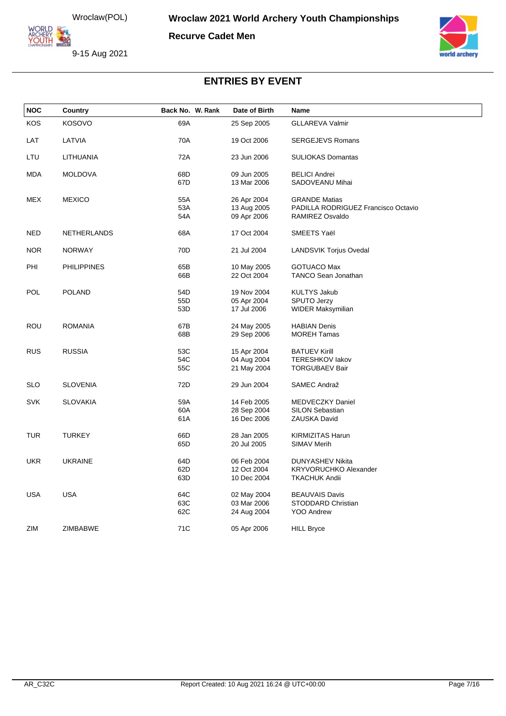**ORLD ARCHERY<br>YOUTH 422** 

**Recurve Cadet Men**





| <b>NOC</b> | Country            | Back No. W. Rank | Date of Birth | Name                                |  |
|------------|--------------------|------------------|---------------|-------------------------------------|--|
| KOS        | <b>KOSOVO</b>      | 69A              | 25 Sep 2005   | <b>GLLAREVA Valmir</b>              |  |
| LAT        | LATVIA             | 70A              | 19 Oct 2006   | <b>SERGEJEVS Romans</b>             |  |
| LTU        | LITHUANIA          | 72A              | 23 Jun 2006   | <b>SULIOKAS Domantas</b>            |  |
| MDA        | <b>MOLDOVA</b>     | 68D              | 09 Jun 2005   | <b>BELICI Andrei</b>                |  |
|            |                    | 67D              | 13 Mar 2006   | SADOVEANU Mihai                     |  |
| <b>MEX</b> | <b>MEXICO</b>      | 55A              | 26 Apr 2004   | <b>GRANDE Matias</b>                |  |
|            |                    | 53A              | 13 Aug 2005   | PADILLA RODRIGUEZ Francisco Octavio |  |
|            |                    | 54A              | 09 Apr 2006   | RAMIREZ Osvaldo                     |  |
| <b>NED</b> | <b>NETHERLANDS</b> | 68A              | 17 Oct 2004   | SMEETS Yaël                         |  |
| <b>NOR</b> | <b>NORWAY</b>      | 70 <sub>D</sub>  | 21 Jul 2004   | LANDSVIK Torjus Ovedal              |  |
| PHI        | <b>PHILIPPINES</b> | 65B              | 10 May 2005   | <b>GOTUACO Max</b>                  |  |
|            |                    | 66B              | 22 Oct 2004   | <b>TANCO Sean Jonathan</b>          |  |
| POL        | <b>POLAND</b>      | 54D              | 19 Nov 2004   | <b>KULTYS Jakub</b>                 |  |
|            |                    | 55D              | 05 Apr 2004   | <b>SPUTO Jerzy</b>                  |  |
|            |                    | 53D              | 17 Jul 2006   | WIDER Maksymilian                   |  |
| ROU        | <b>ROMANIA</b>     | 67B              | 24 May 2005   | <b>HABIAN Denis</b>                 |  |
|            |                    | 68B              | 29 Sep 2006   | <b>MOREH Tamas</b>                  |  |
| <b>RUS</b> | <b>RUSSIA</b>      | 53C              | 15 Apr 2004   | <b>BATUEV Kirill</b>                |  |
|            |                    | 54C              | 04 Aug 2004   | <b>TERESHKOV lakov</b>              |  |
|            |                    | 55C              | 21 May 2004   | <b>TORGUBAEV Bair</b>               |  |
| <b>SLO</b> | <b>SLOVENIA</b>    | 72D              | 29 Jun 2004   | SAMEC Andraž                        |  |
| <b>SVK</b> | <b>SLOVAKIA</b>    | 59A              | 14 Feb 2005   | MEDVECZKY Daniel                    |  |
|            |                    | 60A              | 28 Sep 2004   | <b>SILON Sebastian</b>              |  |
|            |                    | 61A              | 16 Dec 2006   | ZAUSKA David                        |  |
| <b>TUR</b> | <b>TURKEY</b>      | 66D              | 28 Jan 2005   | KIRMIZITAS Harun                    |  |
|            |                    | 65D              | 20 Jul 2005   | <b>SIMAV Merih</b>                  |  |
| <b>UKR</b> | <b>UKRAINE</b>     | 64D              | 06 Feb 2004   | DUNYASHEV Nikita                    |  |
|            |                    | 62D              | 12 Oct 2004   | <b>KRYVORUCHKO Alexander</b>        |  |
|            |                    | 63D              | 10 Dec 2004   | <b>TKACHUK Andii</b>                |  |
| <b>USA</b> | <b>USA</b>         | 64C              | 02 May 2004   | <b>BEAUVAIS Davis</b>               |  |
|            |                    | 63C              | 03 Mar 2006   | STODDARD Christian                  |  |
|            |                    | 62C              | 24 Aug 2004   | <b>YOO Andrew</b>                   |  |
| ZIM        | ZIMBABWE           | 71C              | 05 Apr 2006   | <b>HILL Bryce</b>                   |  |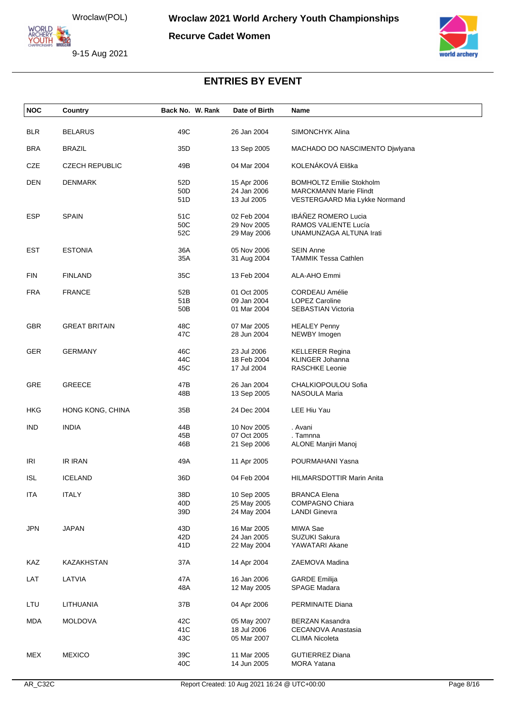**ORLD** ARCHERY<br>YOUTH 422

**Recurve Cadet Women**





| <b>NOC</b> | Country               | Back No. W. Rank       | Date of Birth              | Name                                                           |
|------------|-----------------------|------------------------|----------------------------|----------------------------------------------------------------|
| <b>BLR</b> | <b>BELARUS</b>        | 49C                    | 26 Jan 2004                | SIMONCHYK Alina                                                |
|            |                       |                        |                            |                                                                |
| <b>BRA</b> | <b>BRAZIL</b>         | 35D                    | 13 Sep 2005                | MACHADO DO NASCIMENTO Djwlyana                                 |
| CZE        | <b>CZECH REPUBLIC</b> | 49B                    | 04 Mar 2004                | KOLENÁKOVÁ Eliška                                              |
| <b>DEN</b> | <b>DENMARK</b>        | 52D                    | 15 Apr 2006                | <b>BOMHOLTZ Emilie Stokholm</b>                                |
|            |                       | 50 <sub>D</sub><br>51D | 24 Jan 2006<br>13 Jul 2005 | <b>MARCKMANN Marie Flindt</b><br>VESTERGAARD Mia Lykke Normand |
| <b>ESP</b> | <b>SPAIN</b>          | 51C                    | 02 Feb 2004                | IBÁÑEZ ROMERO Lucia                                            |
|            |                       | 50C                    | 29 Nov 2005                | RAMOS VALIENTE Lucía                                           |
|            |                       | 52C                    | 29 May 2006                | UNAMUNZAGA ALTUNA Irati                                        |
| <b>EST</b> | <b>ESTONIA</b>        | 36A                    | 05 Nov 2006                | <b>SEIN Anne</b>                                               |
|            |                       | 35A                    | 31 Aug 2004                | <b>TAMMIK Tessa Cathlen</b>                                    |
| <b>FIN</b> | <b>FINLAND</b>        | 35C                    | 13 Feb 2004                | ALA-AHO Emmi                                                   |
| <b>FRA</b> | <b>FRANCE</b>         | 52B                    | 01 Oct 2005                | <b>CORDEAU Amélie</b>                                          |
|            |                       | 51B                    | 09 Jan 2004                | <b>LOPEZ Caroline</b>                                          |
|            |                       | 50 <sub>B</sub>        | 01 Mar 2004                | SEBASTIAN Victoria                                             |
| <b>GBR</b> | <b>GREAT BRITAIN</b>  | 48C                    | 07 Mar 2005                | <b>HEALEY Penny</b>                                            |
|            |                       | 47C                    | 28 Jun 2004                | NEWBY Imogen                                                   |
| <b>GER</b> | <b>GERMANY</b>        | 46C                    | 23 Jul 2006                | <b>KELLERER Regina</b>                                         |
|            |                       | 44C                    | 18 Feb 2004                | <b>KLINGER Johanna</b>                                         |
|            |                       | 45C                    | 17 Jul 2004                | <b>RASCHKE Leonie</b>                                          |
| GRE        | <b>GREECE</b>         | 47B                    | 26 Jan 2004                | CHALKIOPOULOU Sofia                                            |
|            |                       | 48B                    | 13 Sep 2005                | NASOULA Maria                                                  |
| <b>HKG</b> | HONG KONG, CHINA      | 35B                    | 24 Dec 2004                | LEE Hiu Yau                                                    |
| <b>IND</b> | <b>INDIA</b>          | 44B                    | 10 Nov 2005                | . Avani                                                        |
|            |                       | 45B                    | 07 Oct 2005                | . Tamnna                                                       |
|            |                       | 46B                    | 21 Sep 2006                | ALONE Manjiri Manoj                                            |
| <b>IRI</b> | IR IRAN               | 49A                    | 11 Apr 2005                | POURMAHANI Yasna                                               |
| <b>ISL</b> | <b>ICELAND</b>        | 36D                    | 04 Feb 2004                | <b>HILMARSDOTTIR Marin Anita</b>                               |
| <b>ITA</b> | <b>ITALY</b>          | 38D                    | 10 Sep 2005                | <b>BRANCA Elena</b>                                            |
|            |                       | 40D                    | 25 May 2005                | <b>COMPAGNO Chiara</b>                                         |
|            |                       | 39D                    | 24 May 2004                | <b>LANDI Ginevra</b>                                           |
| <b>JPN</b> | <b>JAPAN</b>          | 43D                    | 16 Mar 2005                | MIWA Sae                                                       |
|            |                       | 42D                    | 24 Jan 2005                | <b>SUZUKI Sakura</b>                                           |
|            |                       | 41D                    | 22 May 2004                | YAWATARI Akane                                                 |
| KAZ        | <b>KAZAKHSTAN</b>     | 37A                    | 14 Apr 2004                | ZAEMOVA Madina                                                 |
| LAT        | LATVIA                | 47A                    | 16 Jan 2006                | <b>GARDE Emilija</b>                                           |
|            |                       | 48A                    | 12 May 2005                | <b>SPAGE Madara</b>                                            |
| LTU        | LITHUANIA             | 37B                    | 04 Apr 2006                | PERMINAITE Diana                                               |
| <b>MDA</b> | <b>MOLDOVA</b>        | 42C                    | 05 May 2007                | <b>BERZAN Kasandra</b>                                         |
|            |                       | 41C                    | 18 Jul 2006                | CECANOVA Anastasia                                             |
|            |                       | 43C                    | 05 Mar 2007                | <b>CLIMA Nicoleta</b>                                          |
| <b>MEX</b> | <b>MEXICO</b>         | 39C                    | 11 Mar 2005                | <b>GUTIERREZ Diana</b>                                         |
|            |                       | 40C                    | 14 Jun 2005                | <b>MORA Yatana</b>                                             |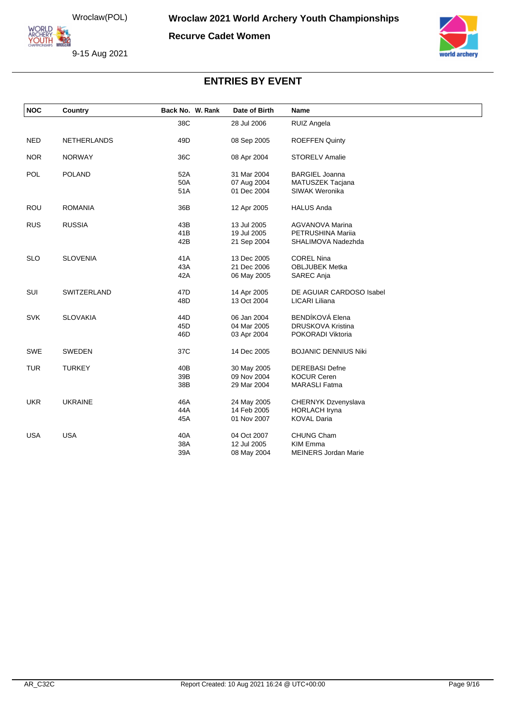**ORLD** ARCHERY<br>YOUTH 422

**Recurve Cadet Women**





| <b>NOC</b> | Country            | Back No. W. Rank | Date of Birth | Name                        |
|------------|--------------------|------------------|---------------|-----------------------------|
|            |                    | 38C              | 28 Jul 2006   | RUIZ Angela                 |
| <b>NED</b> | <b>NETHERLANDS</b> | 49D              | 08 Sep 2005   | <b>ROEFFEN Quinty</b>       |
| <b>NOR</b> | <b>NORWAY</b>      | 36C              | 08 Apr 2004   | <b>STORELV Amalie</b>       |
| <b>POL</b> | <b>POLAND</b>      | 52A              | 31 Mar 2004   | <b>BARGIEL Joanna</b>       |
|            |                    | 50A              | 07 Aug 2004   | MATUSZEK Tacjana            |
|            |                    | 51A              | 01 Dec 2004   | SIWAK Weronika              |
| <b>ROU</b> | <b>ROMANIA</b>     | 36B              | 12 Apr 2005   | <b>HALUS Anda</b>           |
| <b>RUS</b> | <b>RUSSIA</b>      | 43B              | 13 Jul 2005   | <b>AGVANOVA Marina</b>      |
|            |                    | 41B              | 19 Jul 2005   | PETRUSHINA Marija           |
|            |                    | 42B              | 21 Sep 2004   | SHALIMOVA Nadezhda          |
| <b>SLO</b> | <b>SLOVENIA</b>    | 41A              | 13 Dec 2005   | <b>COREL Nina</b>           |
|            |                    | 43A              | 21 Dec 2006   | <b>OBLJUBEK Metka</b>       |
|            |                    | 42A              | 06 May 2005   | SAREC Anja                  |
| SUI        | SWITZERLAND        | 47D              | 14 Apr 2005   | DE AGUIAR CARDOSO Isabel    |
|            |                    | 48D              | 13 Oct 2004   | LICARI Liliana              |
| <b>SVK</b> | <b>SLOVAKIA</b>    | 44D              | 06 Jan 2004   | BENDÍKOVÁ Elena             |
|            |                    | 45D              | 04 Mar 2005   | DRUSKOVA Kristina           |
|            |                    | 46D              | 03 Apr 2004   | POKORADI Viktoria           |
| <b>SWE</b> | <b>SWEDEN</b>      | 37C              | 14 Dec 2005   | <b>BOJANIC DENNIUS Niki</b> |
| <b>TUR</b> | <b>TURKEY</b>      | 40B              | 30 May 2005   | <b>DEREBASI Defne</b>       |
|            |                    | 39B              | 09 Nov 2004   | <b>KOCUR Ceren</b>          |
|            |                    | 38B              | 29 Mar 2004   | <b>MARASLI Fatma</b>        |
| <b>UKR</b> | <b>UKRAINE</b>     | 46A              | 24 May 2005   | CHERNYK Dzvenyslava         |
|            |                    | 44A              | 14 Feb 2005   | <b>HORLACH Iryna</b>        |
|            |                    | 45A              | 01 Nov 2007   | <b>KOVAL Daria</b>          |
| <b>USA</b> | <b>USA</b>         | 40A              | 04 Oct 2007   | <b>CHUNG Cham</b>           |
|            |                    | 38A              | 12 Jul 2005   | <b>KIM Emma</b>             |
|            |                    | 39A              | 08 May 2004   | <b>MEINERS Jordan Marie</b> |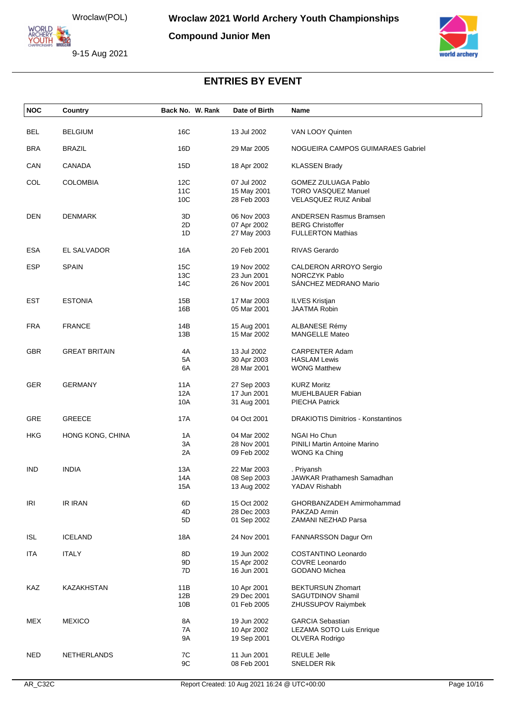ORLD **YOUTH 220** 

**Compound Junior Men**





| <b>NOC</b> | Country              | Back No. W. Rank | Date of Birth              | Name                                                      |
|------------|----------------------|------------------|----------------------------|-----------------------------------------------------------|
| <b>BEL</b> | <b>BELGIUM</b>       | 16C              | 13 Jul 2002                | VAN LOOY Quinten                                          |
|            |                      |                  |                            |                                                           |
| <b>BRA</b> | <b>BRAZIL</b>        | 16D              | 29 Mar 2005                | NOGUEIRA CAMPOS GUIMARAES Gabriel                         |
| CAN        | <b>CANADA</b>        | 15D              | 18 Apr 2002                | <b>KLASSEN Brady</b>                                      |
| COL        | <b>COLOMBIA</b>      | 12C              | 07 Jul 2002                | GOMEZ ZULUAGA Pablo                                       |
|            |                      | 11C<br>10C       | 15 May 2001<br>28 Feb 2003 | <b>TORO VASQUEZ Manuel</b><br>VELASQUEZ RUIZ Anibal       |
|            |                      |                  |                            |                                                           |
| <b>DEN</b> | <b>DENMARK</b>       | 3D<br>2D         | 06 Nov 2003<br>07 Apr 2002 | <b>ANDERSEN Rasmus Bramsen</b><br><b>BERG Christoffer</b> |
|            |                      | 1D               | 27 May 2003                | <b>FULLERTON Mathias</b>                                  |
| <b>ESA</b> | EL SALVADOR          | 16A              | 20 Feb 2001                | RIVAS Gerardo                                             |
| <b>ESP</b> | <b>SPAIN</b>         | 15C              | 19 Nov 2002                | CALDERON ARROYO Sergio                                    |
|            |                      | 13C              | 23 Jun 2001                | <b>NORCZYK Pablo</b>                                      |
|            |                      | 14C              | 26 Nov 2001                | SÁNCHEZ MEDRANO Mario                                     |
| <b>EST</b> | <b>ESTONIA</b>       | 15B              | 17 Mar 2003                | <b>ILVES Kristjan</b>                                     |
|            |                      | 16B              | 05 Mar 2001                | <b>JAATMA Robin</b>                                       |
| <b>FRA</b> | <b>FRANCE</b>        | 14B              | 15 Aug 2001                | ALBANESE Rémy                                             |
|            |                      | 13B              | 15 Mar 2002                | <b>MANGELLE Mateo</b>                                     |
| <b>GBR</b> | <b>GREAT BRITAIN</b> | 4A               | 13 Jul 2002                | <b>CARPENTER Adam</b>                                     |
|            |                      | 5A               | 30 Apr 2003                | <b>HASLAM Lewis</b>                                       |
|            |                      | 6A               | 28 Mar 2001                | <b>WONG Matthew</b>                                       |
| <b>GER</b> | <b>GERMANY</b>       | 11A              | 27 Sep 2003                | <b>KURZ Moritz</b>                                        |
|            |                      | 12A<br>10A       | 17 Jun 2001                | <b>MUEHLBAUER Fabian</b><br>PIECHA Patrick                |
|            |                      |                  | 31 Aug 2001                |                                                           |
| GRE        | <b>GREECE</b>        | 17A              | 04 Oct 2001                | <b>DRAKIOTIS Dimitrios - Konstantinos</b>                 |
| HKG        | HONG KONG, CHINA     | 1A               | 04 Mar 2002                | <b>NGAI Ho Chun</b>                                       |
|            |                      | 3A               | 28 Nov 2001                | <b>PINILI Martin Antoine Marino</b>                       |
|            |                      | 2A               | 09 Feb 2002                | WONG Ka Ching                                             |
| <b>IND</b> | <b>INDIA</b>         | 13A              | 22 Mar 2003                | . Priyansh                                                |
|            |                      | 14A              | 08 Sep 2003                | <b>JAWKAR Prathamesh Samadhan</b>                         |
|            |                      | 15A              | 13 Aug 2002                | YADAV Rishabh                                             |
| IRI        | IR IRAN              | 6D               | 15 Oct 2002                | GHORBANZADEH Amirmohammad                                 |
|            |                      | 4D               | 28 Dec 2003                | PAKZAD Armin                                              |
|            |                      | 5D               | 01 Sep 2002                | ZAMANI NEZHAD Parsa                                       |
| <b>ISL</b> | <b>ICELAND</b>       | 18A              | 24 Nov 2001                | FANNARSSON Dagur Orn                                      |
| <b>ITA</b> | <b>ITALY</b>         | 8D               | 19 Jun 2002                | COSTANTINO Leonardo                                       |
|            |                      | 9D               | 15 Apr 2002                | COVRE Leonardo                                            |
|            |                      | 7D               | 16 Jun 2001                | GODANO Michea                                             |
| KAZ        | KAZAKHSTAN           | 11B              | 10 Apr 2001                | <b>BEKTURSUN Zhomart</b>                                  |
|            |                      | 12B              | 29 Dec 2001                | SAGUTDINOV Shamil                                         |
|            |                      | 10B              | 01 Feb 2005                | ZHUSSUPOV Raiymbek                                        |
| <b>MEX</b> | <b>MEXICO</b>        | 8A               | 19 Jun 2002                | <b>GARCIA Sebastian</b>                                   |
|            |                      | 7A<br>9A         | 10 Apr 2002                | LEZAMA SOTO Luis Enrique                                  |
|            |                      |                  | 19 Sep 2001                | OLVERA Rodrigo                                            |
| <b>NED</b> | NETHERLANDS          | 7C               | 11 Jun 2001                | <b>REULE Jelle</b>                                        |
|            |                      | 9C               | 08 Feb 2001                | SNELDER Rik                                               |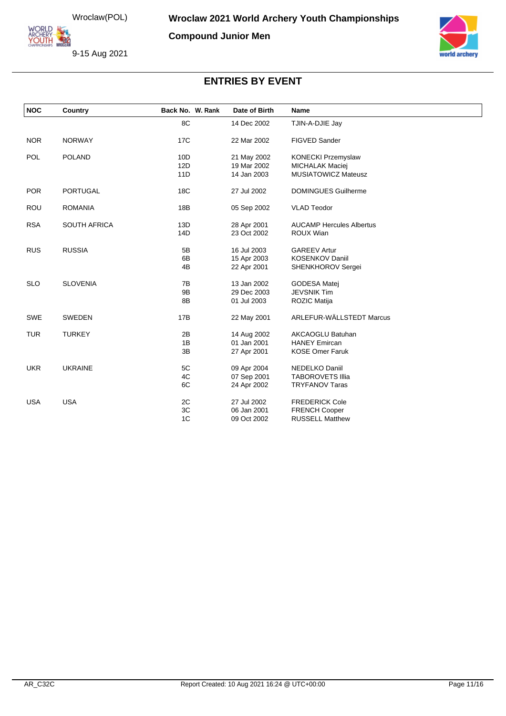ORLD **YOUTH 220** 

**Compound Junior Men**





| <b>NOC</b> | Country             | Back No. W. Rank | Date of Birth | Name                            |
|------------|---------------------|------------------|---------------|---------------------------------|
|            |                     | 8C               | 14 Dec 2002   | TJIN-A-DJIE Jay                 |
| <b>NOR</b> | <b>NORWAY</b>       | 17 <sub>C</sub>  | 22 Mar 2002   | FIGVED Sander                   |
| POL        | <b>POLAND</b>       | 10D              | 21 May 2002   | <b>KONECKI Przemyslaw</b>       |
|            |                     | 12D              | 19 Mar 2002   | <b>MICHALAK Maciej</b>          |
|            |                     | 11D              | 14 Jan 2003   | <b>MUSIATOWICZ Mateusz</b>      |
| <b>POR</b> | <b>PORTUGAL</b>     | 18C              | 27 Jul 2002   | <b>DOMINGUES Guilherme</b>      |
| <b>ROU</b> | <b>ROMANIA</b>      | 18B              | 05 Sep 2002   | <b>VLAD Teodor</b>              |
| <b>RSA</b> | <b>SOUTH AFRICA</b> | 13D              | 28 Apr 2001   | <b>AUCAMP Hercules Albertus</b> |
|            |                     | 14D              | 23 Oct 2002   | ROUX Wian                       |
| <b>RUS</b> | <b>RUSSIA</b>       | 5B               | 16 Jul 2003   | <b>GAREEV Artur</b>             |
|            |                     | 6B               | 15 Apr 2003   | <b>KOSENKOV Daniil</b>          |
|            |                     | 4B               | 22 Apr 2001   | SHENKHOROV Sergei               |
| <b>SLO</b> | <b>SLOVENIA</b>     | 7B               | 13 Jan 2002   | <b>GODESA Matej</b>             |
|            |                     | 9B               | 29 Dec 2003   | <b>JEVSNIK Tim</b>              |
|            |                     | 8B               | 01 Jul 2003   | ROZIC Matija                    |
| <b>SWE</b> | <b>SWEDEN</b>       | 17B              | 22 May 2001   | ARLEFUR-WÄLLSTEDT Marcus        |
| <b>TUR</b> | <b>TURKEY</b>       | 2B               | 14 Aug 2002   | <b>AKCAOGLU Batuhan</b>         |
|            |                     | 1B               | 01 Jan 2001   | <b>HANEY Emircan</b>            |
|            |                     | 3B               | 27 Apr 2001   | <b>KOSE Omer Faruk</b>          |
| <b>UKR</b> | <b>UKRAINE</b>      | 5C               | 09 Apr 2004   | NEDELKO Daniil                  |
|            |                     | 4C               | 07 Sep 2001   | <b>TABOROVETS Illia</b>         |
|            |                     | 6C               | 24 Apr 2002   | <b>TRYFANOV Taras</b>           |
| <b>USA</b> | <b>USA</b>          | 2C               | 27 Jul 2002   | <b>FREDERICK Cole</b>           |
|            |                     | 3C               | 06 Jan 2001   | <b>FRENCH Cooper</b>            |
|            |                     | 1 <sup>C</sup>   | 09 Oct 2002   | <b>RUSSELL Matthew</b>          |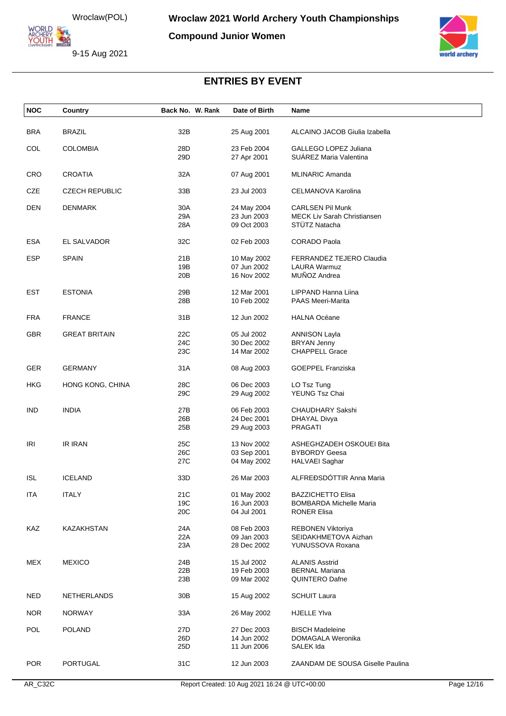Wroclaw(POL)<br>
MCHERY<br>
YOUTH<br>
MCHERY WROCHERY<br>
MCHERY WROCHERY<br>
MCHERY WROCHERY<br>
MCHERY

**Compound Junior Women**

9-15 Aug 2021



| <b>NOC</b> | Country               | Back No. W. Rank | Date of Birth              | Name                                                   |
|------------|-----------------------|------------------|----------------------------|--------------------------------------------------------|
| <b>BRA</b> | <b>BRAZIL</b>         | 32B              | 25 Aug 2001                | ALCAINO JACOB Giulia Izabella                          |
|            |                       |                  |                            |                                                        |
| COL        | <b>COLOMBIA</b>       | 28D<br>29D       | 23 Feb 2004<br>27 Apr 2001 | GALLEGO LOPEZ Juliana<br><b>SUAREZ Maria Valentina</b> |
|            |                       |                  |                            |                                                        |
| <b>CRO</b> | <b>CROATIA</b>        | 32A              | 07 Aug 2001                | <b>MLINARIC Amanda</b>                                 |
| CZE        | <b>CZECH REPUBLIC</b> | 33B              | 23 Jul 2003                | CELMANOVA Karolina                                     |
| DEN        | <b>DENMARK</b>        | 30A              | 24 May 2004                | <b>CARLSEN Pil Munk</b>                                |
|            |                       | 29A<br>28A       | 23 Jun 2003<br>09 Oct 2003 | MECK Liv Sarah Christiansen<br>STÜTZ Natacha           |
| <b>ESA</b> | EL SALVADOR           | 32C              | 02 Feb 2003                | <b>CORADO Paola</b>                                    |
|            |                       |                  |                            |                                                        |
| ESP        | <b>SPAIN</b>          | 21B<br>19B       | 10 May 2002<br>07 Jun 2002 | FERRANDEZ TEJERO Claudia<br><b>LAURA Warmuz</b>        |
|            |                       | 20 <sub>B</sub>  | 16 Nov 2002                | MUÑOZ Andrea                                           |
|            |                       |                  |                            |                                                        |
| EST        | <b>ESTONIA</b>        | 29B              | 12 Mar 2001                | LIPPAND Hanna Liina                                    |
|            |                       | 28B              | 10 Feb 2002                | <b>PAAS Meeri-Marita</b>                               |
| FRA        | <b>FRANCE</b>         | 31B              | 12 Jun 2002                | <b>HALNA Océane</b>                                    |
| GBR        | <b>GREAT BRITAIN</b>  | 22C              | 05 Jul 2002                | <b>ANNISON Layla</b>                                   |
|            |                       | 24C              | 30 Dec 2002                | <b>BRYAN Jenny</b>                                     |
|            |                       | 23C              | 14 Mar 2002                | <b>CHAPPELL Grace</b>                                  |
| <b>GER</b> | <b>GERMANY</b>        | 31A              | 08 Aug 2003                | <b>GOEPPEL Franziska</b>                               |
| HKG        | HONG KONG, CHINA      | 28C              | 06 Dec 2003                | LO Tsz Tung                                            |
|            |                       | 29C              | 29 Aug 2002                | YEUNG Tsz Chai                                         |
| IND        | <b>INDIA</b>          | 27B              | 06 Feb 2003                | <b>CHAUDHARY Sakshi</b>                                |
|            |                       | 26B              | 24 Dec 2001                | DHAYAL Divya                                           |
|            |                       | 25B              | 29 Aug 2003                | <b>PRAGATI</b>                                         |
| IRI        | <b>IR IRAN</b>        | 25C              | 13 Nov 2002                | ASHEGHZADEH OSKOUEI Bita                               |
|            |                       | 26C              | 03 Sep 2001                | <b>BYBORDY Geesa</b>                                   |
|            |                       | 27C              | 04 May 2002                | <b>HALVAEI</b> Saghar                                  |
| <b>ISL</b> | <b>ICELAND</b>        | 33D              | 26 Mar 2003                | ALFREÐSDÓTTIR Anna Maria                               |
| ITA        | <b>ITALY</b>          | 21C              | 01 May 2002                | <b>BAZZICHETTO Elisa</b>                               |
|            |                       | 19C              | 16 Jun 2003                | <b>BOMBARDA Michelle Maria</b>                         |
|            |                       | 20C              | 04 Jul 2001                | <b>RONER Elisa</b>                                     |
| KAZ        | KAZAKHSTAN            | 24A              | 08 Feb 2003                | REBONEN Viktoriya                                      |
|            |                       | 22A              | 09 Jan 2003                | SEIDAKHMETOVA Aizhan                                   |
|            |                       | 23A              | 28 Dec 2002                | YUNUSSOVA Roxana                                       |
| <b>MEX</b> | <b>MEXICO</b>         | 24B              | 15 Jul 2002                | <b>ALANIS Asstrid</b>                                  |
|            |                       | 22B              | 19 Feb 2003                | <b>BERNAL Mariana</b>                                  |
|            |                       | 23B              | 09 Mar 2002                | <b>QUINTERO Dafne</b>                                  |
| <b>NED</b> | <b>NETHERLANDS</b>    | 30B              | 15 Aug 2002                | <b>SCHUIT Laura</b>                                    |
| <b>NOR</b> | <b>NORWAY</b>         | 33A              | 26 May 2002                | <b>HJELLE Ylva</b>                                     |
| <b>POL</b> | <b>POLAND</b>         | 27D              | 27 Dec 2003                | <b>BISCH Madeleine</b>                                 |
|            |                       | 26D              | 14 Jun 2002                | DOMAGALA Weronika                                      |
|            |                       | 25D              | 11 Jun 2006                | SALEK Ida                                              |
| <b>POR</b> | PORTUGAL              | 31C              | 12 Jun 2003                | ZAANDAM DE SOUSA Giselle Paulina                       |
|            |                       |                  |                            |                                                        |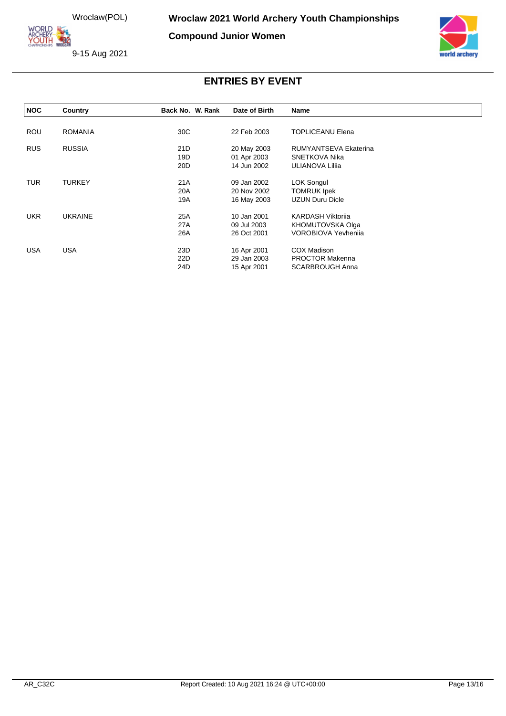ORLD ARCHERY<br>YOUTH 422

**Compound Junior Women**





| <b>NOC</b> | Country        | Back No. W. Rank | Date of Birth | Name                       |  |
|------------|----------------|------------------|---------------|----------------------------|--|
|            |                |                  |               |                            |  |
| ROU        | <b>ROMANIA</b> | 30C              | 22 Feb 2003   | <b>TOPLICEANU Elena</b>    |  |
| <b>RUS</b> | <b>RUSSIA</b>  | 21D              | 20 May 2003   | RUMYANTSEVA Ekaterina      |  |
|            |                | 19D              | 01 Apr 2003   | SNETKOVA Nika              |  |
|            |                | 20D              | 14 Jun 2002   | ULIANOVA Lilija            |  |
| <b>TUR</b> | <b>TURKEY</b>  | 21A              | 09 Jan 2002   | <b>LOK Songul</b>          |  |
|            |                | 20A              | 20 Nov 2002   | <b>TOMRUK Ipek</b>         |  |
|            |                | 19A              | 16 May 2003   | <b>UZUN Duru Dicle</b>     |  |
| <b>UKR</b> | <b>UKRAINE</b> | 25A              | 10 Jan 2001   | <b>KARDASH Viktorija</b>   |  |
|            |                | 27A              | 09 Jul 2003   | KHOMUTOVSKA Olga           |  |
|            |                | 26A              | 26 Oct 2001   | <b>VOROBIOVA Yevhenija</b> |  |
| <b>USA</b> | USA            | 23D              | 16 Apr 2001   | COX Madison                |  |
|            |                | 22D              | 29 Jan 2003   | <b>PROCTOR Makenna</b>     |  |
|            |                | 24D              | 15 Apr 2001   | <b>SCARBROUGH Anna</b>     |  |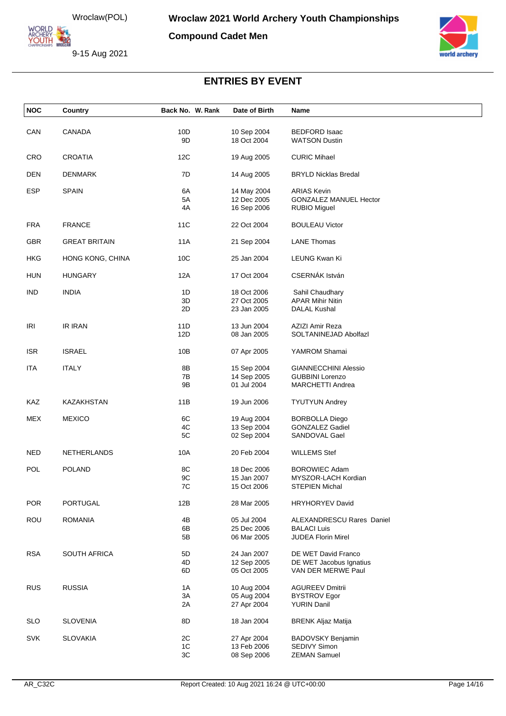Wroclaw(POL)<br>
MCHERY<br>
YOUTH<br>
MCHERY WROCHERY<br>
MCHERY WROCHERY<br>
MCHERY WROCHERY<br>
MCHERY

**Compound Cadet Men**





| <b>NOC</b> | Country              | Back No. W. Rank | Date of Birth              | Name                                            |  |
|------------|----------------------|------------------|----------------------------|-------------------------------------------------|--|
|            |                      |                  |                            |                                                 |  |
| CAN        | <b>CANADA</b>        | 10D              | 10 Sep 2004                | <b>BEDFORD Isaac</b>                            |  |
|            |                      | 9D               | 18 Oct 2004                | <b>WATSON Dustin</b>                            |  |
| <b>CRO</b> | <b>CROATIA</b>       | 12C              | 19 Aug 2005                | <b>CURIC Mihael</b>                             |  |
| <b>DEN</b> | <b>DENMARK</b>       | 7D               | 14 Aug 2005                | <b>BRYLD Nicklas Bredal</b>                     |  |
|            |                      |                  |                            |                                                 |  |
| <b>ESP</b> | <b>SPAIN</b>         | 6A               | 14 May 2004                | <b>ARIAS Kevin</b>                              |  |
|            |                      | 5A<br>4A         | 12 Dec 2005                | <b>GONZALEZ MANUEL Hector</b>                   |  |
|            |                      |                  | 16 Sep 2006                | <b>RUBIO Miguel</b>                             |  |
| <b>FRA</b> | <b>FRANCE</b>        | 11C              | 22 Oct 2004                | <b>BOULEAU Victor</b>                           |  |
| <b>GBR</b> | <b>GREAT BRITAIN</b> | 11A              | 21 Sep 2004                | <b>LANE Thomas</b>                              |  |
|            |                      |                  |                            |                                                 |  |
| <b>HKG</b> | HONG KONG, CHINA     | 10 <sub>C</sub>  | 25 Jan 2004                | LEUNG Kwan Ki                                   |  |
| <b>HUN</b> | HUNGARY              | 12A              | 17 Oct 2004                | CSERNÁK István                                  |  |
| <b>IND</b> | <b>INDIA</b>         | 1D               | 18 Oct 2006                | Sahil Chaudhary                                 |  |
|            |                      | 3D               | 27 Oct 2005                | <b>APAR Mihir Nitin</b>                         |  |
|            |                      | 2D               | 23 Jan 2005                | <b>DALAL Kushal</b>                             |  |
|            |                      |                  |                            |                                                 |  |
| IRI        | <b>IR IRAN</b>       | 11D              | 13 Jun 2004                | AZIZI Amir Reza                                 |  |
|            |                      | 12D              | 08 Jan 2005                | SOLTANINEJAD Abolfazl                           |  |
| <b>ISR</b> | <b>ISRAEL</b>        | 10B              | 07 Apr 2005                | YAMROM Shamai                                   |  |
|            |                      |                  |                            |                                                 |  |
| <b>ITA</b> | <b>ITALY</b>         | 8B               | 15 Sep 2004                | <b>GIANNECCHINI Alessio</b>                     |  |
|            |                      | 7B               | 14 Sep 2005                | <b>GUBBINI Lorenzo</b>                          |  |
|            |                      | 9B               | 01 Jul 2004                | <b>MARCHETTI Andrea</b>                         |  |
| KAZ        | KAZAKHSTAN           | 11B              | 19 Jun 2006                | <b>TYUTYUN Andrey</b>                           |  |
|            |                      |                  |                            |                                                 |  |
| <b>MEX</b> | <b>MEXICO</b>        | 6C<br>4C         | 19 Aug 2004<br>13 Sep 2004 | <b>BORBOLLA Diego</b><br><b>GONZALEZ Gadiel</b> |  |
|            |                      | 5C               | 02 Sep 2004                | SANDOVAL Gael                                   |  |
|            |                      |                  |                            |                                                 |  |
| <b>NED</b> | NETHERLANDS          | 10A              | 20 Feb 2004                | <b>WILLEMS Stef</b>                             |  |
| <b>POL</b> | <b>POLAND</b>        | 8C               | 18 Dec 2006                | <b>BOROWIEC Adam</b>                            |  |
|            |                      | 9C               | 15 Jan 2007                | MYSZOR-LACH Kordian                             |  |
|            |                      | 7C               | 15 Oct 2006                | <b>STEPIEN Michal</b>                           |  |
| <b>POR</b> | <b>PORTUGAL</b>      | 12B              | 28 Mar 2005                | <b>HRYHORYEV David</b>                          |  |
|            |                      |                  |                            |                                                 |  |
| ROU        | <b>ROMANIA</b>       | 4B               | 05 Jul 2004                | ALEXANDRESCU Rares Daniel                       |  |
|            |                      | 6B               | 25 Dec 2006                | <b>BALACI Luis</b>                              |  |
|            |                      | 5B               | 06 Mar 2005                | <b>JUDEA Florin Mirel</b>                       |  |
| <b>RSA</b> | <b>SOUTH AFRICA</b>  | 5D               | 24 Jan 2007                | DE WET David Franco                             |  |
|            |                      | 4D               | 12 Sep 2005                | DE WET Jacobus Ignatius                         |  |
|            |                      | 6D               | 05 Oct 2005                | VAN DER MERWE Paul                              |  |
| <b>RUS</b> | <b>RUSSIA</b>        | 1A               |                            | <b>AGUREEV Dmitrii</b>                          |  |
|            |                      | 3A               | 10 Aug 2004<br>05 Aug 2004 | <b>BYSTROV Egor</b>                             |  |
|            |                      | 2A               | 27 Apr 2004                | <b>YURIN Danil</b>                              |  |
|            |                      |                  |                            |                                                 |  |
| <b>SLO</b> | <b>SLOVENIA</b>      | 8D               | 18 Jan 2004                | <b>BRENK Aljaz Matija</b>                       |  |
|            |                      |                  |                            |                                                 |  |
| <b>SVK</b> | <b>SLOVAKIA</b>      | 2C<br>1C         | 27 Apr 2004<br>13 Feb 2006 | BADOVSKY Benjamin<br>SEDIVY Simon               |  |
|            |                      | 3C               | 08 Sep 2006                | <b>ZEMAN Samuel</b>                             |  |
|            |                      |                  |                            |                                                 |  |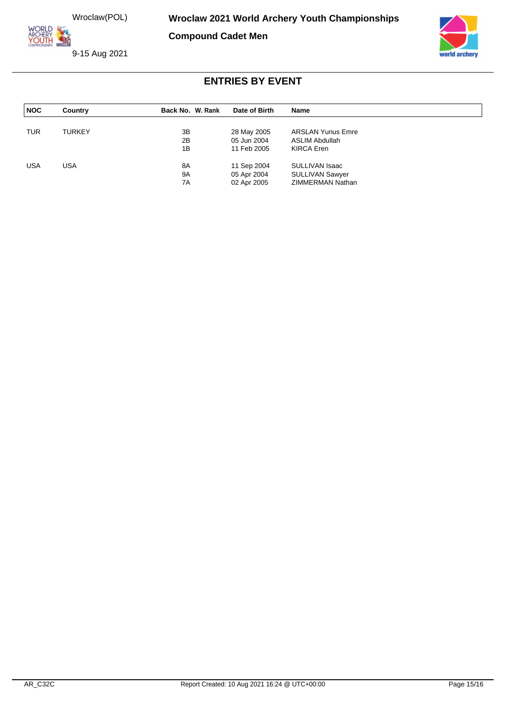ORLD **YOUTH 220** 

**Compound Cadet Men**

9-15 Aug 2021



| <b>NOC</b> | Country       | Back No. W. Rank | Date of Birth | Name                     |  |
|------------|---------------|------------------|---------------|--------------------------|--|
|            |               |                  |               |                          |  |
| <b>TUR</b> | <b>TURKEY</b> | 3B               | 28 May 2005   | <b>ARSLAN Yunus Emre</b> |  |
|            |               | 2B               | 05 Jun 2004   | ASLIM Abdullah           |  |
|            |               | 1B               | 11 Feb 2005   | KIRCA Eren               |  |
| <b>USA</b> | USA           | 8A               | 11 Sep 2004   | SULLIVAN Isaac           |  |
|            |               | <b>9A</b>        | 05 Apr 2004   | <b>SULLIVAN Sawyer</b>   |  |
|            |               | 7A               | 02 Apr 2005   | ZIMMERMAN Nathan         |  |